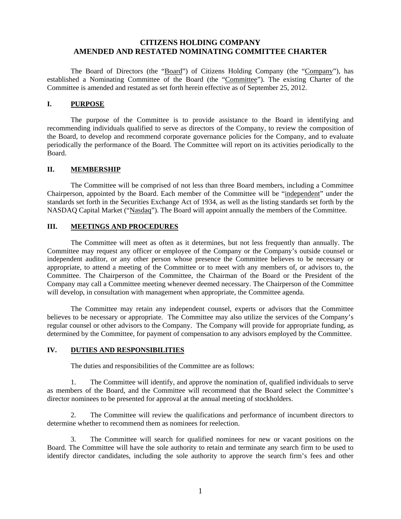# **CITIZENS HOLDING COMPANY AMENDED AND RESTATED NOMINATING COMMITTEE CHARTER**

 The Board of Directors (the "Board") of Citizens Holding Company (the "Company"), has established a Nominating Committee of the Board (the "Committee"). The existing Charter of the Committee is amended and restated as set forth herein effective as of September 25, 2012.

### **I. PURPOSE**

 The purpose of the Committee is to provide assistance to the Board in identifying and recommending individuals qualified to serve as directors of the Company, to review the composition of the Board, to develop and recommend corporate governance policies for the Company, and to evaluate periodically the performance of the Board. The Committee will report on its activities periodically to the Board.

## **II. MEMBERSHIP**

 The Committee will be comprised of not less than three Board members, including a Committee Chairperson, appointed by the Board. Each member of the Committee will be "independent" under the standards set forth in the Securities Exchange Act of 1934, as well as the listing standards set forth by the NASDAQ Capital Market ("Nasdaq"). The Board will appoint annually the members of the Committee.

# **III. MEETINGS AND PROCEDURES**

 The Committee will meet as often as it determines, but not less frequently than annually. The Committee may request any officer or employee of the Company or the Company's outside counsel or independent auditor, or any other person whose presence the Committee believes to be necessary or appropriate, to attend a meeting of the Committee or to meet with any members of, or advisors to, the Committee. The Chairperson of the Committee, the Chairman of the Board or the President of the Company may call a Committee meeting whenever deemed necessary. The Chairperson of the Committee will develop, in consultation with management when appropriate, the Committee agenda.

 The Committee may retain any independent counsel, experts or advisors that the Committee believes to be necessary or appropriate. The Committee may also utilize the services of the Company's regular counsel or other advisors to the Company. The Company will provide for appropriate funding, as determined by the Committee, for payment of compensation to any advisors employed by the Committee.

### **IV. DUTIES AND RESPONSIBILITIES**

The duties and responsibilities of the Committee are as follows:

1. The Committee will identify, and approve the nomination of, qualified individuals to serve as members of the Board, and the Committee will recommend that the Board select the Committee's director nominees to be presented for approval at the annual meeting of stockholders.

2. The Committee will review the qualifications and performance of incumbent directors to determine whether to recommend them as nominees for reelection.

3. The Committee will search for qualified nominees for new or vacant positions on the Board. The Committee will have the sole authority to retain and terminate any search firm to be used to identify director candidates, including the sole authority to approve the search firm's fees and other